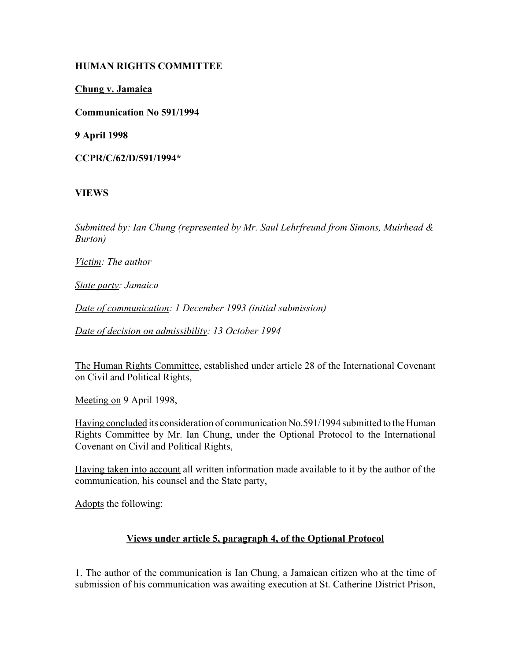## **HUMAN RIGHTS COMMITTEE**

**Chung v. Jamaica**

**Communication No 591/1994**

**9 April 1998**

**CCPR/C/62/D/591/1994\***

# **VIEWS**

*Submitted by: Ian Chung (represented by Mr. Saul Lehrfreund from Simons, Muirhead & Burton)* 

*Victim: The author* 

*State party: Jamaica* 

*Date of communication: 1 December 1993 (initial submission)* 

*Date of decision on admissibility: 13 October 1994*

The Human Rights Committee, established under article 28 of the International Covenant on Civil and Political Rights,

Meeting on 9 April 1998,

Having concluded its consideration of communication No.591/1994 submitted to the Human Rights Committee by Mr. Ian Chung, under the Optional Protocol to the International Covenant on Civil and Political Rights,

Having taken into account all written information made available to it by the author of the communication, his counsel and the State party,

Adopts the following:

# **Views under article 5, paragraph 4, of the Optional Protocol**

1. The author of the communication is Ian Chung, a Jamaican citizen who at the time of submission of his communication was awaiting execution at St. Catherine District Prison,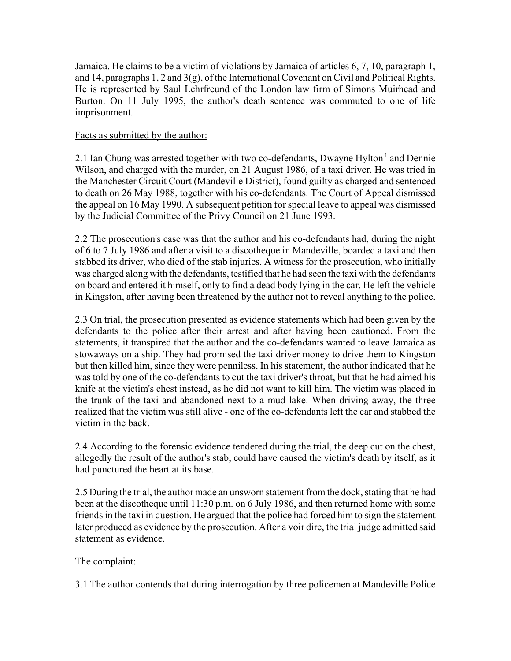Jamaica. He claims to be a victim of violations by Jamaica of articles 6, 7, 10, paragraph 1, and 14, paragraphs 1, 2 and 3(g), of the International Covenant on Civil and Political Rights. He is represented by Saul Lehrfreund of the London law firm of Simons Muirhead and Burton. On 11 July 1995, the author's death sentence was commuted to one of life imprisonment.

## Facts as submitted by the author:

2.1 Ian Chung was arrested together with two co-defendants, Dwayne Hylton<sup>1</sup> and Dennie Wilson, and charged with the murder, on 21 August 1986, of a taxi driver. He was tried in the Manchester Circuit Court (Mandeville District), found guilty as charged and sentenced to death on 26 May 1988, together with his co-defendants. The Court of Appeal dismissed the appeal on 16 May 1990. A subsequent petition for special leave to appeal was dismissed by the Judicial Committee of the Privy Council on 21 June 1993.

2.2 The prosecution's case was that the author and his co-defendants had, during the night of 6 to 7 July 1986 and after a visit to a discotheque in Mandeville, boarded a taxi and then stabbed its driver, who died of the stab injuries. A witness for the prosecution, who initially was charged along with the defendants, testified that he had seen the taxi with the defendants on board and entered it himself, only to find a dead body lying in the car. He left the vehicle in Kingston, after having been threatened by the author not to reveal anything to the police.

2.3 On trial, the prosecution presented as evidence statements which had been given by the defendants to the police after their arrest and after having been cautioned. From the statements, it transpired that the author and the co-defendants wanted to leave Jamaica as stowaways on a ship. They had promised the taxi driver money to drive them to Kingston but then killed him, since they were penniless. In his statement, the author indicated that he was told by one of the co-defendants to cut the taxi driver's throat, but that he had aimed his knife at the victim's chest instead, as he did not want to kill him. The victim was placed in the trunk of the taxi and abandoned next to a mud lake. When driving away, the three realized that the victim was still alive - one of the co-defendants left the car and stabbed the victim in the back.

2.4 According to the forensic evidence tendered during the trial, the deep cut on the chest, allegedly the result of the author's stab, could have caused the victim's death by itself, as it had punctured the heart at its base.

2.5 During the trial, the author made an unsworn statement from the dock, stating that he had been at the discotheque until 11:30 p.m. on 6 July 1986, and then returned home with some friends in the taxi in question. He argued that the police had forced him to sign the statement later produced as evidence by the prosecution. After a voir dire, the trial judge admitted said statement as evidence.

## The complaint:

3.1 The author contends that during interrogation by three policemen at Mandeville Police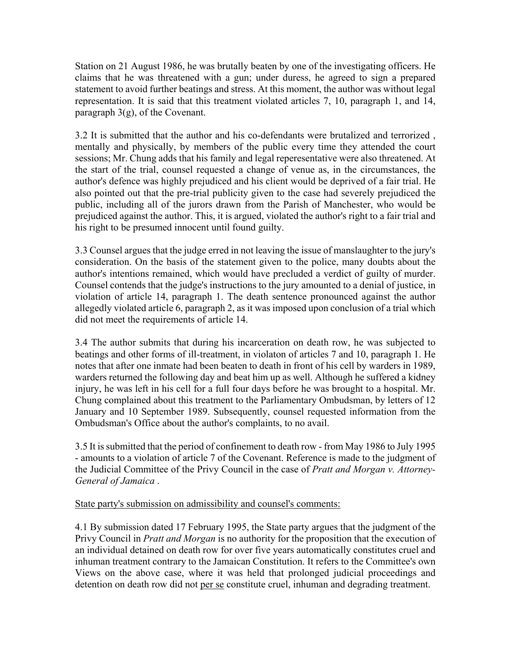Station on 21 August 1986, he was brutally beaten by one of the investigating officers. He claims that he was threatened with a gun; under duress, he agreed to sign a prepared statement to avoid further beatings and stress. At this moment, the author was without legal representation. It is said that this treatment violated articles 7, 10, paragraph 1, and 14, paragraph 3(g), of the Covenant.

3.2 It is submitted that the author and his co-defendants were brutalized and terrorized , mentally and physically, by members of the public every time they attended the court sessions; Mr. Chung adds that his family and legal reperesentative were also threatened. At the start of the trial, counsel requested a change of venue as, in the circumstances, the author's defence was highly prejudiced and his client would be deprived of a fair trial. He also pointed out that the pre-trial publicity given to the case had severely prejudiced the public, including all of the jurors drawn from the Parish of Manchester, who would be prejudiced against the author. This, it is argued, violated the author's right to a fair trial and his right to be presumed innocent until found guilty.

3.3 Counsel argues that the judge erred in not leaving the issue of manslaughter to the jury's consideration. On the basis of the statement given to the police, many doubts about the author's intentions remained, which would have precluded a verdict of guilty of murder. Counsel contends that the judge's instructions to the jury amounted to a denial of justice, in violation of article 14, paragraph 1. The death sentence pronounced against the author allegedly violated article 6, paragraph 2, as it was imposed upon conclusion of a trial which did not meet the requirements of article 14.

3.4 The author submits that during his incarceration on death row, he was subjected to beatings and other forms of ill-treatment, in violaton of articles 7 and 10, paragraph 1. He notes that after one inmate had been beaten to death in front of his cell by warders in 1989, warders returned the following day and beat him up as well. Although he suffered a kidney injury, he was left in his cell for a full four days before he was brought to a hospital. Mr. Chung complained about this treatment to the Parliamentary Ombudsman, by letters of 12 January and 10 September 1989. Subsequently, counsel requested information from the Ombudsman's Office about the author's complaints, to no avail.

3.5 It is submitted that the period of confinement to death row - from May 1986 to July 1995 - amounts to a violation of article 7 of the Covenant. Reference is made to the judgment of the Judicial Committee of the Privy Council in the case of *Pratt and Morgan v. Attorney-General of Jamaica* .

#### State party's submission on admissibility and counsel's comments:

4.1 By submission dated 17 February 1995, the State party argues that the judgment of the Privy Council in *Pratt and Morgan* is no authority for the proposition that the execution of an individual detained on death row for over five years automatically constitutes cruel and inhuman treatment contrary to the Jamaican Constitution. It refers to the Committee's own Views on the above case, where it was held that prolonged judicial proceedings and detention on death row did not per se constitute cruel, inhuman and degrading treatment.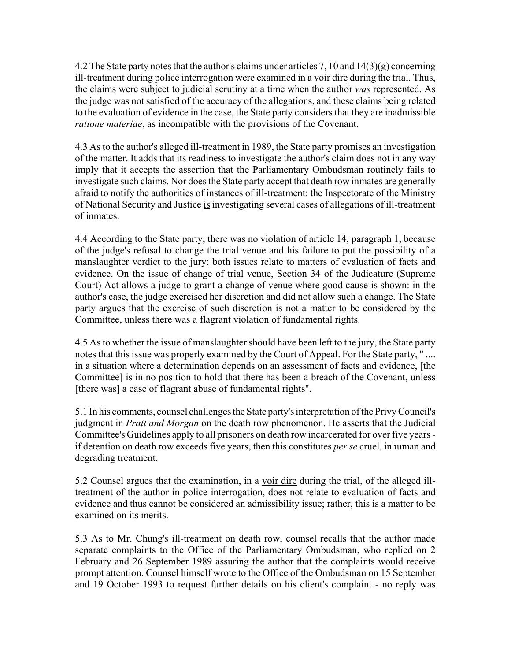4.2 The State party notes that the author's claims under articles 7, 10 and  $14(3)(g)$  concerning ill-treatment during police interrogation were examined in a voir dire during the trial. Thus, the claims were subject to judicial scrutiny at a time when the author *was* represented. As the judge was not satisfied of the accuracy of the allegations, and these claims being related to the evaluation of evidence in the case, the State party considers that they are inadmissible *ratione materiae*, as incompatible with the provisions of the Covenant.

4.3 As to the author's alleged ill-treatment in 1989, the State party promises an investigation of the matter. It adds that its readiness to investigate the author's claim does not in any way imply that it accepts the assertion that the Parliamentary Ombudsman routinely fails to investigate such claims. Nor does the State party accept that death row inmates are generally afraid to notify the authorities of instances of ill-treatment: the Inspectorate of the Ministry of National Security and Justice is investigating several cases of allegations of ill-treatment of inmates.

4.4 According to the State party, there was no violation of article 14, paragraph 1, because of the judge's refusal to change the trial venue and his failure to put the possibility of a manslaughter verdict to the jury: both issues relate to matters of evaluation of facts and evidence. On the issue of change of trial venue, Section 34 of the Judicature (Supreme Court) Act allows a judge to grant a change of venue where good cause is shown: in the author's case, the judge exercised her discretion and did not allow such a change. The State party argues that the exercise of such discretion is not a matter to be considered by the Committee, unless there was a flagrant violation of fundamental rights.

4.5 As to whether the issue of manslaughter should have been left to the jury, the State party notes that this issue was properly examined by the Court of Appeal. For the State party, " .... in a situation where a determination depends on an assessment of facts and evidence, [the Committee] is in no position to hold that there has been a breach of the Covenant, unless [there was] a case of flagrant abuse of fundamental rights".

5.1 In his comments, counsel challenges the State party's interpretation of the Privy Council's judgment in *Pratt and Morgan* on the death row phenomenon. He asserts that the Judicial Committee's Guidelines apply to all prisoners on death row incarcerated for over five years if detention on death row exceeds five years, then this constitutes *per se* cruel, inhuman and degrading treatment.

5.2 Counsel argues that the examination, in a voir dire during the trial, of the alleged illtreatment of the author in police interrogation, does not relate to evaluation of facts and evidence and thus cannot be considered an admissibility issue; rather, this is a matter to be examined on its merits.

5.3 As to Mr. Chung's ill-treatment on death row, counsel recalls that the author made separate complaints to the Office of the Parliamentary Ombudsman, who replied on 2 February and 26 September 1989 assuring the author that the complaints would receive prompt attention. Counsel himself wrote to the Office of the Ombudsman on 15 September and 19 October 1993 to request further details on his client's complaint - no reply was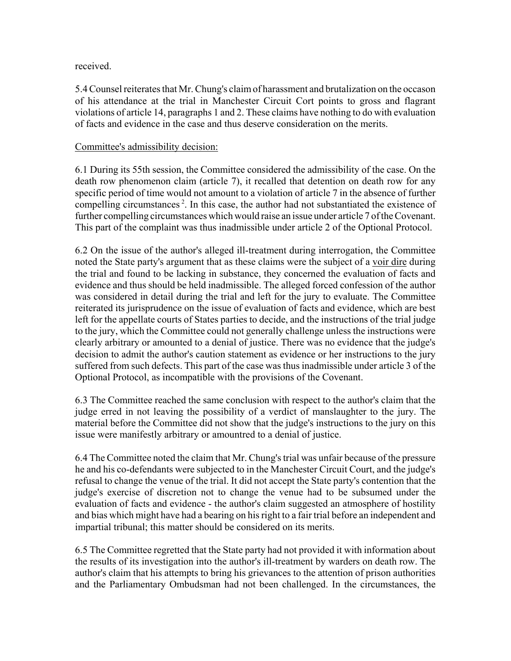### received.

5.4 Counsel reiterates that Mr. Chung's claim of harassment and brutalization on the occason of his attendance at the trial in Manchester Circuit Cort points to gross and flagrant violations of article 14, paragraphs 1 and 2. These claims have nothing to do with evaluation of facts and evidence in the case and thus deserve consideration on the merits.

### Committee's admissibility decision:

6.1 During its 55th session, the Committee considered the admissibility of the case. On the death row phenomenon claim (article 7), it recalled that detention on death row for any specific period of time would not amount to a violation of article 7 in the absence of further compelling circumstances<sup>2</sup>. In this case, the author had not substantiated the existence of further compelling circumstances which would raise an issue under article 7 of the Covenant. This part of the complaint was thus inadmissible under article 2 of the Optional Protocol.

6.2 On the issue of the author's alleged ill-treatment during interrogation, the Committee noted the State party's argument that as these claims were the subject of a voir dire during the trial and found to be lacking in substance, they concerned the evaluation of facts and evidence and thus should be held inadmissible. The alleged forced confession of the author was considered in detail during the trial and left for the jury to evaluate. The Committee reiterated its jurisprudence on the issue of evaluation of facts and evidence, which are best left for the appellate courts of States parties to decide, and the instructions of the trial judge to the jury, which the Committee could not generally challenge unless the instructions were clearly arbitrary or amounted to a denial of justice. There was no evidence that the judge's decision to admit the author's caution statement as evidence or her instructions to the jury suffered from such defects. This part of the case was thus inadmissible under article 3 of the Optional Protocol, as incompatible with the provisions of the Covenant.

6.3 The Committee reached the same conclusion with respect to the author's claim that the judge erred in not leaving the possibility of a verdict of manslaughter to the jury. The material before the Committee did not show that the judge's instructions to the jury on this issue were manifestly arbitrary or amountred to a denial of justice.

6.4 The Committee noted the claim that Mr. Chung's trial was unfair because of the pressure he and his co-defendants were subjected to in the Manchester Circuit Court, and the judge's refusal to change the venue of the trial. It did not accept the State party's contention that the judge's exercise of discretion not to change the venue had to be subsumed under the evaluation of facts and evidence - the author's claim suggested an atmosphere of hostility and bias which might have had a bearing on his right to a fair trial before an independent and impartial tribunal; this matter should be considered on its merits.

6.5 The Committee regretted that the State party had not provided it with information about the results of its investigation into the author's ill-treatment by warders on death row. The author's claim that his attempts to bring his grievances to the attention of prison authorities and the Parliamentary Ombudsman had not been challenged. In the circumstances, the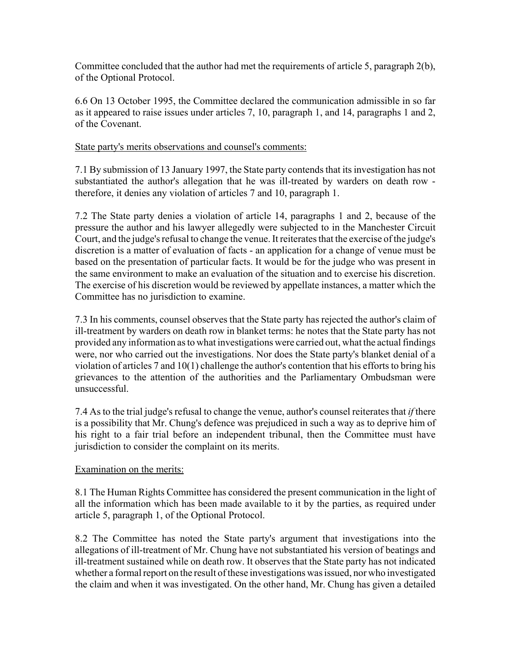Committee concluded that the author had met the requirements of article 5, paragraph 2(b), of the Optional Protocol.

6.6 On 13 October 1995, the Committee declared the communication admissible in so far as it appeared to raise issues under articles 7, 10, paragraph 1, and 14, paragraphs 1 and 2, of the Covenant.

### State party's merits observations and counsel's comments:

7.1 By submission of 13 January 1997, the State party contends that its investigation has not substantiated the author's allegation that he was ill-treated by warders on death row therefore, it denies any violation of articles 7 and 10, paragraph 1.

7.2 The State party denies a violation of article 14, paragraphs 1 and 2, because of the pressure the author and his lawyer allegedly were subjected to in the Manchester Circuit Court, and the judge's refusal to change the venue. It reiterates that the exercise of the judge's discretion is a matter of evaluation of facts - an application for a change of venue must be based on the presentation of particular facts. It would be for the judge who was present in the same environment to make an evaluation of the situation and to exercise his discretion. The exercise of his discretion would be reviewed by appellate instances, a matter which the Committee has no jurisdiction to examine.

7.3 In his comments, counsel observes that the State party has rejected the author's claim of ill-treatment by warders on death row in blanket terms: he notes that the State party has not provided any information as to what investigations were carried out, what the actual findings were, nor who carried out the investigations. Nor does the State party's blanket denial of a violation of articles 7 and 10(1) challenge the author's contention that his efforts to bring his grievances to the attention of the authorities and the Parliamentary Ombudsman were unsuccessful.

7.4 As to the trial judge's refusal to change the venue, author's counsel reiterates that *if* there is a possibility that Mr. Chung's defence was prejudiced in such a way as to deprive him of his right to a fair trial before an independent tribunal, then the Committee must have jurisdiction to consider the complaint on its merits.

#### Examination on the merits:

8.1 The Human Rights Committee has considered the present communication in the light of all the information which has been made available to it by the parties, as required under article 5, paragraph 1, of the Optional Protocol.

8.2 The Committee has noted the State party's argument that investigations into the allegations of ill-treatment of Mr. Chung have not substantiated his version of beatings and ill-treatment sustained while on death row. It observes that the State party has not indicated whether a formal report on the result of these investigations was issued, nor who investigated the claim and when it was investigated. On the other hand, Mr. Chung has given a detailed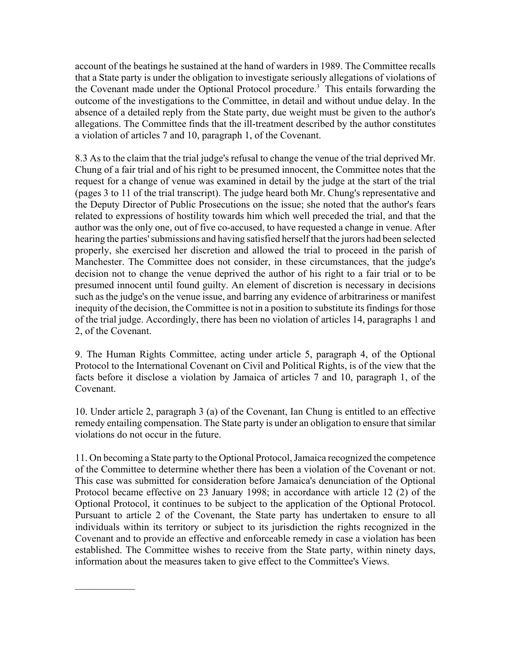account of the beatings he sustained at the hand of warders in 1989. The Committee recalls that a State party is under the obligation to investigate seriously allegations of violations of the Covenant made under the Optional Protocol procedure.<sup>3</sup> This entails forwarding the outcome of the investigations to the Committee, in detail and without undue delay. In the absence of a detailed reply from the State party, due weight must be given to the author's allegations. The Committee finds that the ill-treatment described by the author constitutes a violation of articles 7 and 10, paragraph 1, of the Covenant.

8.3 As to the claim that the trial judge's refusal to change the venue of the trial deprived Mr. Chung of a fair trial and of his right to be presumed innocent, the Committee notes that the request for a change of venue was examined in detail by the judge at the start of the trial (pages 3 to 11 of the trial transcript). The judge heard both Mr. Chung's representative and the Deputy Director of Public Prosecutions on the issue; she noted that the author's fears related to expressions of hostility towards him which well preceded the trial, and that the author was the only one, out of five co-accused, to have requested a change in venue. After hearing the parties' submissions and having satisfied herself that the jurors had been selected properly, she exercised her discretion and allowed the trial to proceed in the parish of Manchester. The Committee does not consider, in these circumstances, that the judge's decision not to change the venue deprived the author of his right to a fair trial or to be presumed innocent until found guilty. An element of discretion is necessary in decisions such as the judge's on the venue issue, and barring any evidence of arbitrariness or manifest inequity of the decision, the Committee is not in a position to substitute its findings for those of the trial judge. Accordingly, there has been no violation of articles 14, paragraphs 1 and 2, of the Covenant.

9. The Human Rights Committee, acting under article 5, paragraph 4, of the Optional Protocol to the International Covenant on Civil and Political Rights, is of the view that the facts before it disclose a violation by Jamaica of articles 7 and 10, paragraph 1, of the Covenant.

10. Under article 2, paragraph 3 (a) of the Covenant, Ian Chung is entitled to an effective remedy entailing compensation. The State party is under an obligation to ensure that similar violations do not occur in the future.

11. On becoming a State party to the Optional Protocol, Jamaica recognized the competence of the Committee to determine whether there has been a violation of the Covenant or not. This case was submitted for consideration before Jamaica's denunciation of the Optional Protocol became effective on 23 January 1998; in accordance with article 12 (2) of the Optional Protocol, it continues to be subject to the application of the Optional Protocol. Pursuant to article 2 of the Covenant, the State party has undertaken to ensure to all individuals within its territory or subject to its jurisdiction the rights recognized in the Covenant and to provide an effective and enforceable remedy in case a violation has been established. The Committee wishes to receive from the State party, within ninety days, information about the measures taken to give effect to the Committee's Views.

 $\frac{1}{2}$